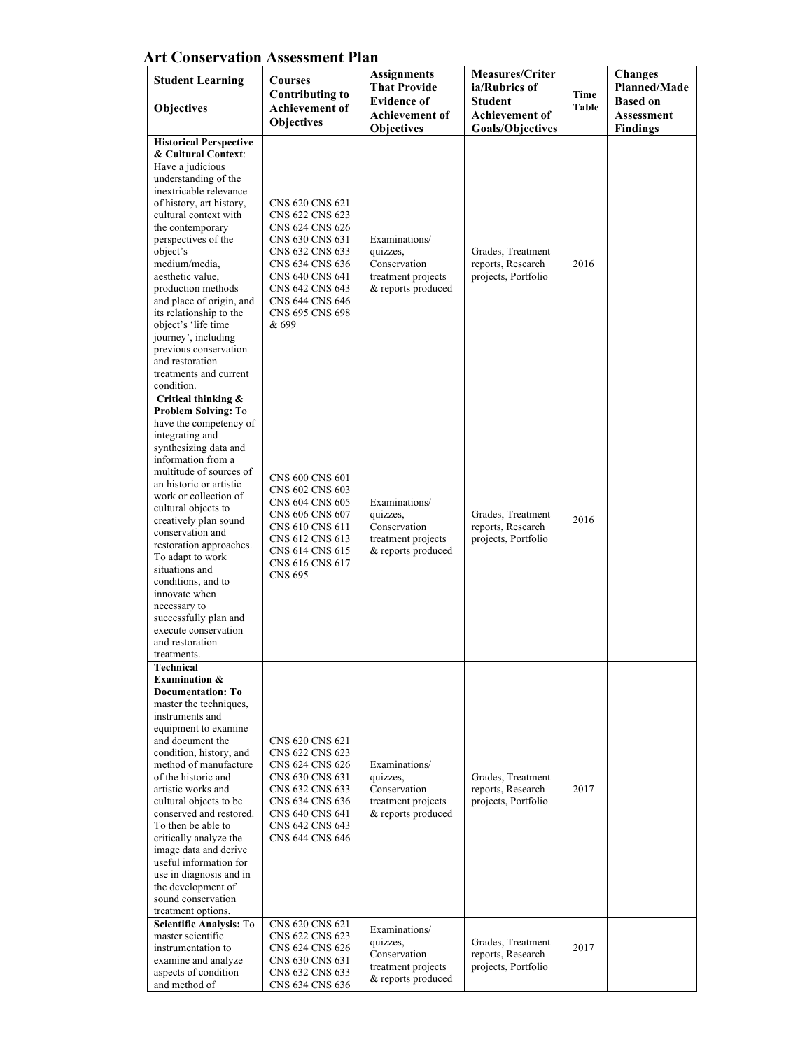| <b>Art Conservation Assessment Plan</b> |  |
|-----------------------------------------|--|
|-----------------------------------------|--|

| <b>Student Learning</b><br>Objectives                                                                                                                                                                                                                                                                                                                                                                                                                                                                                   | <b>Courses</b><br><b>Contributing to</b><br>Achievement of<br><b>Objectives</b>                                                                                                                     | <b>Assignments</b><br><b>That Provide</b><br><b>Evidence of</b><br><b>Achievement of</b><br>Objectives | <b>Measures/Criter</b><br>ia/Rubrics of<br>Student<br>Achievement of<br><b>Goals/Objectives</b> | Time<br><b>Table</b> | <b>Changes</b><br><b>Planned/Made</b><br><b>Based on</b><br><b>Assessment</b><br><b>Findings</b> |
|-------------------------------------------------------------------------------------------------------------------------------------------------------------------------------------------------------------------------------------------------------------------------------------------------------------------------------------------------------------------------------------------------------------------------------------------------------------------------------------------------------------------------|-----------------------------------------------------------------------------------------------------------------------------------------------------------------------------------------------------|--------------------------------------------------------------------------------------------------------|-------------------------------------------------------------------------------------------------|----------------------|--------------------------------------------------------------------------------------------------|
| <b>Historical Perspective</b><br>& Cultural Context:<br>Have a judicious<br>understanding of the<br>inextricable relevance<br>of history, art history,<br>cultural context with<br>the contemporary<br>perspectives of the<br>object's<br>medium/media.<br>aesthetic value.<br>production methods<br>and place of origin, and<br>its relationship to the<br>object's 'life time<br>journey', including<br>previous conservation<br>and restoration<br>treatments and current<br>condition.                              | CNS 620 CNS 621<br>CNS 622 CNS 623<br>CNS 624 CNS 626<br>CNS 630 CNS 631<br>CNS 632 CNS 633<br>CNS 634 CNS 636<br>CNS 640 CNS 641<br>CNS 642 CNS 643<br>CNS 644 CNS 646<br>CNS 695 CNS 698<br>& 699 | Examinations/<br>quizzes,<br>Conservation<br>treatment projects<br>& reports produced                  | Grades, Treatment<br>reports, Research<br>projects, Portfolio                                   | 2016                 |                                                                                                  |
| Critical thinking &<br><b>Problem Solving: To</b><br>have the competency of<br>integrating and<br>synthesizing data and<br>information from a<br>multitude of sources of<br>an historic or artistic<br>work or collection of<br>cultural objects to<br>creatively plan sound<br>conservation and<br>restoration approaches.<br>To adapt to work<br>situations and<br>conditions, and to<br>innovate when<br>necessary to<br>successfully plan and<br>execute conservation<br>and restoration<br>treatments.             | CNS 600 CNS 601<br>CNS 602 CNS 603<br>CNS 604 CNS 605<br>CNS 606 CNS 607<br>CNS 610 CNS 611<br>CNS 612 CNS 613<br>CNS 614 CNS 615<br>CNS 616 CNS 617<br><b>CNS 695</b>                              | Examinations/<br>quizzes,<br>Conservation<br>treatment projects<br>& reports produced                  | Grades, Treatment<br>reports, Research<br>projects, Portfolio                                   | 2016                 |                                                                                                  |
| <b>Technical</b><br><b>Examination &amp;</b><br><b>Documentation: To</b><br>master the techniques,<br>instruments and<br>equipment to examine<br>and document the<br>condition, history, and<br>method of manufacture<br>of the historic and<br>artistic works and<br>cultural objects to be<br>conserved and restored.<br>To then be able to<br>critically analyze the<br>image data and derive<br>useful information for<br>use in diagnosis and in<br>the development of<br>sound conservation<br>treatment options. | CNS 620 CNS 621<br>CNS 622 CNS 623<br>CNS 624 CNS 626<br>CNS 630 CNS 631<br>CNS 632 CNS 633<br>CNS 634 CNS 636<br>CNS 640 CNS 641<br>CNS 642 CNS 643<br>CNS 644 CNS 646                             | Examinations/<br>quizzes,<br>Conservation<br>treatment projects<br>& reports produced                  | Grades, Treatment<br>reports, Research<br>projects, Portfolio                                   | 2017                 |                                                                                                  |
| Scientific Analysis: To<br>master scientific<br>instrumentation to<br>examine and analyze<br>aspects of condition<br>and method of                                                                                                                                                                                                                                                                                                                                                                                      | CNS 620 CNS 621<br>CNS 622 CNS 623<br>CNS 624 CNS 626<br>CNS 630 CNS 631<br>CNS 632 CNS 633<br>CNS 634 CNS 636                                                                                      | Examinations/<br>quizzes,<br>Conservation<br>treatment projects<br>& reports produced                  | Grades, Treatment<br>reports, Research<br>projects, Portfolio                                   | 2017                 |                                                                                                  |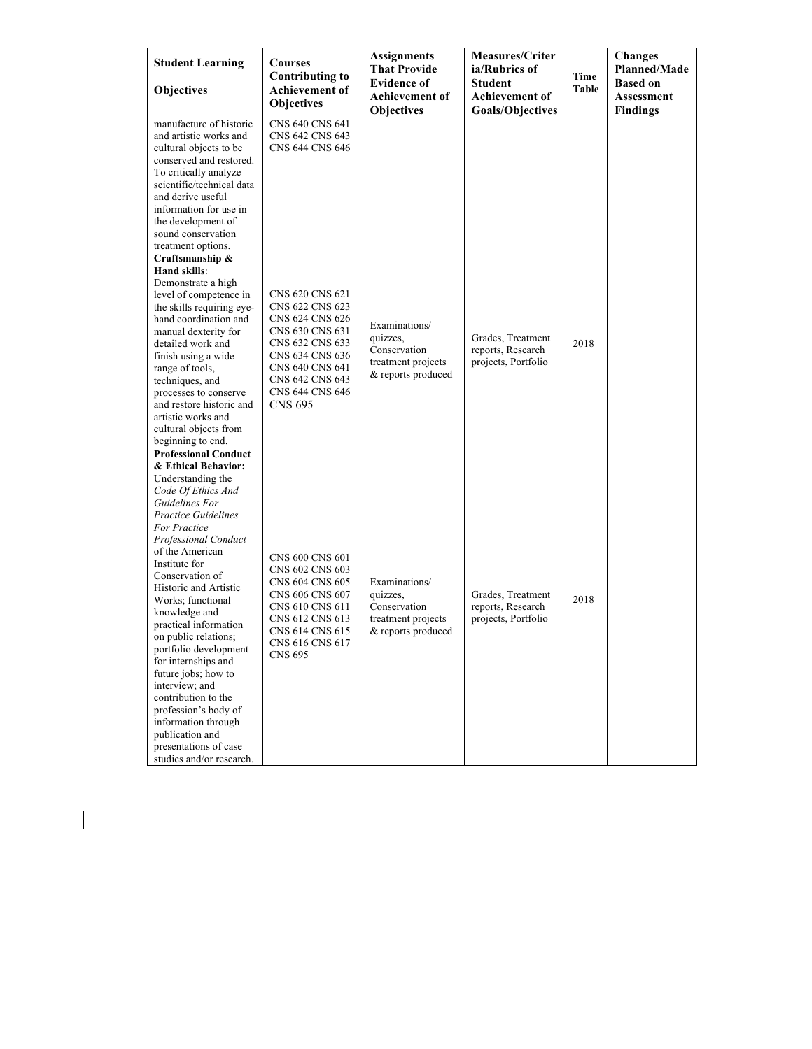| <b>Student Learning</b>                                                                                                                                                                                                                                                                                                                                                                                                                                                                                                                                                     | Courses<br><b>Contributing to</b>                                                                                                                                                         | <b>Assignments</b><br><b>That Provide</b><br><b>Evidence of</b>                       | <b>Measures/Criter</b><br>ia/Rubrics of                       | Time  | <b>Changes</b><br><b>Planned/Made</b><br><b>Based on</b> |
|-----------------------------------------------------------------------------------------------------------------------------------------------------------------------------------------------------------------------------------------------------------------------------------------------------------------------------------------------------------------------------------------------------------------------------------------------------------------------------------------------------------------------------------------------------------------------------|-------------------------------------------------------------------------------------------------------------------------------------------------------------------------------------------|---------------------------------------------------------------------------------------|---------------------------------------------------------------|-------|----------------------------------------------------------|
| Objectives                                                                                                                                                                                                                                                                                                                                                                                                                                                                                                                                                                  | <b>Achievement</b> of<br><b>Objectives</b>                                                                                                                                                | <b>Achievement of</b><br><b>Objectives</b>                                            | Student<br><b>Achievement of</b><br><b>Goals/Objectives</b>   | Table | <b>Assessment</b><br><b>Findings</b>                     |
| manufacture of historic<br>and artistic works and<br>cultural objects to be<br>conserved and restored.<br>To critically analyze<br>scientific/technical data<br>and derive useful<br>information for use in<br>the development of<br>sound conservation                                                                                                                                                                                                                                                                                                                     | CNS 640 CNS 641<br>CNS 642 CNS 643<br>CNS 644 CNS 646                                                                                                                                     |                                                                                       |                                                               |       |                                                          |
| treatment options.<br>Craftsmanship &<br>Hand skills:<br>Demonstrate a high<br>level of competence in<br>the skills requiring eve-<br>hand coordination and<br>manual dexterity for<br>detailed work and<br>finish using a wide<br>range of tools,<br>techniques, and<br>processes to conserve<br>and restore historic and<br>artistic works and<br>cultural objects from<br>beginning to end.<br><b>Professional Conduct</b>                                                                                                                                               | CNS 620 CNS 621<br>CNS 622 CNS 623<br>CNS 624 CNS 626<br>CNS 630 CNS 631<br>CNS 632 CNS 633<br>CNS 634 CNS 636<br>CNS 640 CNS 641<br>CNS 642 CNS 643<br>CNS 644 CNS 646<br><b>CNS 695</b> | Examinations/<br>quizzes,<br>Conservation<br>treatment projects<br>& reports produced | Grades, Treatment<br>reports, Research<br>projects, Portfolio | 2018  |                                                          |
| & Ethical Behavior:<br>Understanding the<br>Code Of Ethics And<br>Guidelines For<br><b>Practice Guidelines</b><br>For Practice<br><b>Professional Conduct</b><br>of the American<br>Institute for<br>Conservation of<br>Historic and Artistic<br>Works; functional<br>knowledge and<br>practical information<br>on public relations;<br>portfolio development<br>for internships and<br>future jobs; how to<br>interview; and<br>contribution to the<br>profession's body of<br>information through<br>publication and<br>presentations of case<br>studies and/or research. | CNS 600 CNS 601<br>CNS 602 CNS 603<br>CNS 604 CNS 605<br>CNS 606 CNS 607<br>CNS 610 CNS 611<br>CNS 612 CNS 613<br>CNS 614 CNS 615<br>CNS 616 CNS 617<br><b>CNS 695</b>                    | Examinations/<br>quizzes,<br>Conservation<br>treatment projects<br>& reports produced | Grades, Treatment<br>reports, Research<br>projects, Portfolio | 2018  |                                                          |

 $\begin{array}{c} \rule{0pt}{2ex} \rule{0pt}{2ex} \rule{0pt}{2ex} \rule{0pt}{2ex} \rule{0pt}{2ex} \rule{0pt}{2ex} \rule{0pt}{2ex} \rule{0pt}{2ex} \rule{0pt}{2ex} \rule{0pt}{2ex} \rule{0pt}{2ex} \rule{0pt}{2ex} \rule{0pt}{2ex} \rule{0pt}{2ex} \rule{0pt}{2ex} \rule{0pt}{2ex} \rule{0pt}{2ex} \rule{0pt}{2ex} \rule{0pt}{2ex} \rule{0pt}{2ex} \rule{0pt}{2ex} \rule{0pt}{2ex} \rule{0pt}{2ex} \rule{0pt}{$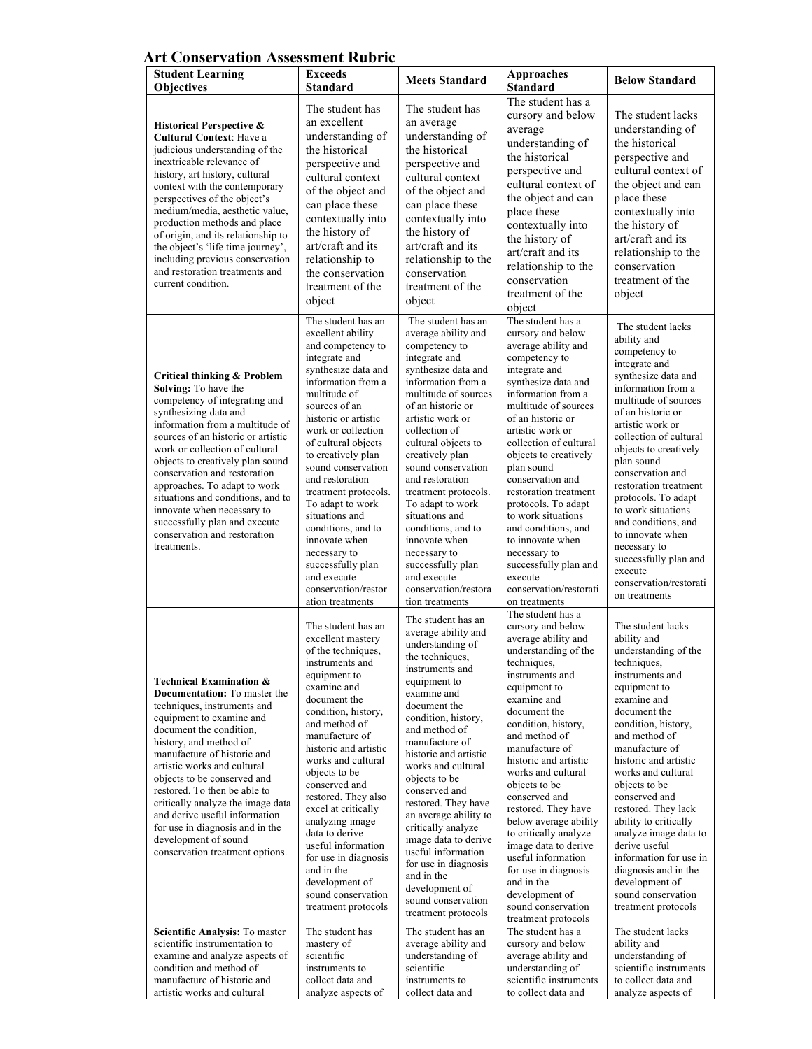## **Art Conservation Assessment Rubric**

| <b>Student Learning</b><br><b>Objectives</b>                                                                                                                                                                                                                                                                                                                                                                                                                                               | <b>Exceeds</b><br>Standard                                                                                                                                                                                                                                                                                                                                                                                                                                                                                   | <b>Meets Standard</b>                                                                                                                                                                                                                                                                                                                                                                                                                                                                                                  | <b>Approaches</b><br><b>Standard</b>                                                                                                                                                                                                                                                                                                                                                                                                                                                                                                          | <b>Below Standard</b>                                                                                                                                                                                                                                                                                                                                                                                                                                                                           |
|--------------------------------------------------------------------------------------------------------------------------------------------------------------------------------------------------------------------------------------------------------------------------------------------------------------------------------------------------------------------------------------------------------------------------------------------------------------------------------------------|--------------------------------------------------------------------------------------------------------------------------------------------------------------------------------------------------------------------------------------------------------------------------------------------------------------------------------------------------------------------------------------------------------------------------------------------------------------------------------------------------------------|------------------------------------------------------------------------------------------------------------------------------------------------------------------------------------------------------------------------------------------------------------------------------------------------------------------------------------------------------------------------------------------------------------------------------------------------------------------------------------------------------------------------|-----------------------------------------------------------------------------------------------------------------------------------------------------------------------------------------------------------------------------------------------------------------------------------------------------------------------------------------------------------------------------------------------------------------------------------------------------------------------------------------------------------------------------------------------|-------------------------------------------------------------------------------------------------------------------------------------------------------------------------------------------------------------------------------------------------------------------------------------------------------------------------------------------------------------------------------------------------------------------------------------------------------------------------------------------------|
| <b>Historical Perspective &amp;</b><br><b>Cultural Context: Have a</b><br>judicious understanding of the<br>inextricable relevance of<br>history, art history, cultural<br>context with the contemporary<br>perspectives of the object's<br>medium/media, aesthetic value,<br>production methods and place<br>of origin, and its relationship to<br>the object's 'life time journey',<br>including previous conservation<br>and restoration treatments and<br>current condition.           | The student has<br>an excellent<br>understanding of<br>the historical<br>perspective and<br>cultural context<br>of the object and<br>can place these<br>contextually into<br>the history of<br>art/craft and its<br>relationship to<br>the conservation<br>treatment of the<br>object                                                                                                                                                                                                                        | The student has<br>an average<br>understanding of<br>the historical<br>perspective and<br>cultural context<br>of the object and<br>can place these<br>contextually into<br>the history of<br>art/craft and its<br>relationship to the<br>conservation<br>treatment of the<br>object                                                                                                                                                                                                                                    | The student has a<br>cursory and below<br>average<br>understanding of<br>the historical<br>perspective and<br>cultural context of<br>the object and can<br>place these<br>contextually into<br>the history of<br>art/craft and its<br>relationship to the<br>conservation<br>treatment of the<br>object                                                                                                                                                                                                                                       | The student lacks<br>understanding of<br>the historical<br>perspective and<br>cultural context of<br>the object and can<br>place these<br>contextually into<br>the history of<br>art/craft and its<br>relationship to the<br>conservation<br>treatment of the<br>object                                                                                                                                                                                                                         |
| <b>Critical thinking &amp; Problem</b><br>Solving: To have the<br>competency of integrating and<br>synthesizing data and<br>information from a multitude of<br>sources of an historic or artistic<br>work or collection of cultural<br>objects to creatively plan sound<br>conservation and restoration<br>approaches. To adapt to work<br>situations and conditions, and to<br>innovate when necessary to<br>successfully plan and execute<br>conservation and restoration<br>treatments. | The student has an<br>excellent ability<br>and competency to<br>integrate and<br>synthesize data and<br>information from a<br>multitude of<br>sources of an<br>historic or artistic<br>work or collection<br>of cultural objects<br>to creatively plan<br>sound conservation<br>and restoration<br>treatment protocols.<br>To adapt to work<br>situations and<br>conditions, and to<br>innovate when<br>necessary to<br>successfully plan<br>and execute<br>conservation/restor                              | The student has an<br>average ability and<br>competency to<br>integrate and<br>synthesize data and<br>information from a<br>multitude of sources<br>of an historic or<br>artistic work or<br>collection of<br>cultural objects to<br>creatively plan<br>sound conservation<br>and restoration<br>treatment protocols.<br>To adapt to work<br>situations and<br>conditions, and to<br>innovate when<br>necessary to<br>successfully plan<br>and execute<br>conservation/restora<br>tion treatments                      | The student has a<br>cursory and below<br>average ability and<br>competency to<br>integrate and<br>synthesize data and<br>information from a<br>multitude of sources<br>of an historic or<br>artistic work or<br>collection of cultural<br>objects to creatively<br>plan sound<br>conservation and<br>restoration treatment<br>protocols. To adapt<br>to work situations<br>and conditions, and<br>to innovate when<br>necessary to<br>successfully plan and<br>execute<br>conservation/restorati<br>on treatments                            | The student lacks<br>ability and<br>competency to<br>integrate and<br>synthesize data and<br>information from a<br>multitude of sources<br>of an historic or<br>artistic work or<br>collection of cultural<br>objects to creatively<br>plan sound<br>conservation and<br>restoration treatment<br>protocols. To adapt<br>to work situations<br>and conditions, and<br>to innovate when<br>necessary to<br>successfully plan and<br>execute<br>conservation/restorati<br>on treatments           |
| <b>Technical Examination &amp;</b><br><b>Documentation:</b> To master the<br>techniques, instruments and<br>equipment to examine and<br>document the condition,<br>history, and method of<br>manufacture of historic and<br>artistic works and cultural<br>objects to be conserved and<br>restored. To then be able to<br>critically analyze the image data<br>and derive useful information<br>for use in diagnosis and in the<br>development of sound<br>conservation treatment options. | ation treatments<br>The student has an<br>excellent mastery<br>of the techniques,<br>instruments and<br>equipment to<br>examine and<br>document the<br>condition, history,<br>and method of<br>manufacture of<br>historic and artistic<br>works and cultural<br>objects to be<br>conserved and<br>restored. They also<br>excel at critically<br>analyzing image<br>data to derive<br>useful information<br>for use in diagnosis<br>and in the<br>development of<br>sound conservation<br>treatment protocols | The student has an<br>average ability and<br>understanding of<br>the techniques.<br>instruments and<br>equipment to<br>examine and<br>document the<br>condition, history,<br>and method of<br>manufacture of<br>historic and artistic<br>works and cultural<br>objects to be<br>conserved and<br>restored. They have<br>an average ability to<br>critically analyze<br>image data to derive<br>useful information<br>for use in diagnosis<br>and in the<br>development of<br>sound conservation<br>treatment protocols | The student has a<br>cursory and below<br>average ability and<br>understanding of the<br>techniques,<br>instruments and<br>equipment to<br>examine and<br>document the<br>condition, history,<br>and method of<br>manufacture of<br>historic and artistic<br>works and cultural<br>objects to be<br>conserved and<br>restored. They have<br>below average ability<br>to critically analyze<br>image data to derive<br>useful information<br>for use in diagnosis<br>and in the<br>development of<br>sound conservation<br>treatment protocols | The student lacks<br>ability and<br>understanding of the<br>techniques,<br>instruments and<br>equipment to<br>examine and<br>document the<br>condition, history,<br>and method of<br>manufacture of<br>historic and artistic<br>works and cultural<br>objects to be<br>conserved and<br>restored. They lack<br>ability to critically<br>analyze image data to<br>derive useful<br>information for use in<br>diagnosis and in the<br>development of<br>sound conservation<br>treatment protocols |
| Scientific Analysis: To master<br>scientific instrumentation to<br>examine and analyze aspects of<br>condition and method of<br>manufacture of historic and<br>artistic works and cultural                                                                                                                                                                                                                                                                                                 | The student has<br>mastery of<br>scientific<br>instruments to<br>collect data and<br>analyze aspects of                                                                                                                                                                                                                                                                                                                                                                                                      | The student has an<br>average ability and<br>understanding of<br>scientific<br>instruments to<br>collect data and                                                                                                                                                                                                                                                                                                                                                                                                      | The student has a<br>cursory and below<br>average ability and<br>understanding of<br>scientific instruments<br>to collect data and                                                                                                                                                                                                                                                                                                                                                                                                            | The student lacks<br>ability and<br>understanding of<br>scientific instruments<br>to collect data and<br>analyze aspects of                                                                                                                                                                                                                                                                                                                                                                     |